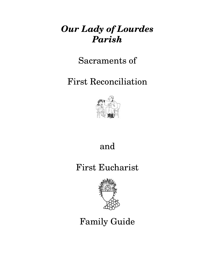## *Our Lady of Lourdes Parish*

Sacraments of

First Reconciliation



## and

## First Eucharist



# Family Guide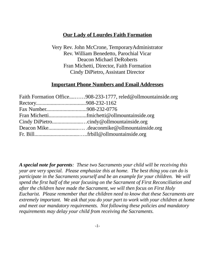## **Our Lady of Lourdes Faith Formation**

Very Rev. John McCrone, TemporaryAdministrator Rev. William Benedetto, Parochial Vicar Deacon Michael DeRoberts Fran Michetti, Director, Faith Formation Cindy DiPietro, Assistant Director

### **Important Phone Numbers and Email Addresses**

| Faith Formation Office908-233-1777, reled@ollmountainside.org |
|---------------------------------------------------------------|
|                                                               |
|                                                               |
|                                                               |
|                                                               |
| Deacon Mikedeaconmike@ollmountainside.org                     |
|                                                               |
|                                                               |

*A special note for parents: These two Sacraments your child will be receiving this year are very special. Please emphasize this at home. The best thing you can do is participate in the Sacraments yourself and be an example for your children. We will spend the first half of the year focusing on the Sacrament of First Reconciliation and after the children have made the Sacrament, we will then focus on First Holy Eucharist. Please remember that the children need to know that these Sacraments are extremely important. We ask that you do your part to work with your children at home and meet our mandatory requirements. Not following these policies and mandatory requirements may delay your child from receiving the Sacraments.*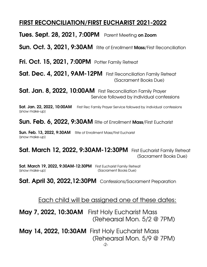## FIRST RECONCILIATION/FIRST EUCHARIST 2021-2022

Tues. Sept. 28, 2021, 7:00PM Parent Meeting on Zoom

Sun. Oct. 3, 2021, 9:30AM Rite of Enrollment Mass/First Reconciliation

Fri. Oct. 15, 2021, 7:00PM Potter Family Retreat

Sat. Dec. 4, 2021, 9AM-12PM First Reconciliation Family Retreat (Sacrament Books Due)

Sat. Jan. 8, 2022, 10:00AM First Reconciliation Family Prayer Service followed by individual confessions

Sat. Jan. 22, 2022, 10:00AM First Rec Family Prayer Service followed by individual confessions [snow make-up]

Sun. Feb. 6, 2022, 9:30AM Rite of Enrollment Mass/First Eucharist

Sun. Feb. 13, 2022, 9:30AM Rite of Enrollment Mass/First Eucharist [snow make-up]

**Sat. March 12, 2022, 9:30AM-12:30PM** First Eucharist Family Retreat (Sacrament Books Due)

Sat. March 19, 2022, 9:30AM-12:30PM First Eucharist Family Retreat [snow make-up] (Sacrament Books Due)

Sat. April 30, 2022, 12:30PM Confessions/Sacrament Preparation

Each child will be assigned one of these dates:

May 7, 2022, 10:30AM First Holy Eucharist Mass (Rehearsal Mon. 5/2 @ 7PM)

May 14, 2022, 10:30AM First Holy Eucharist Mass (Rehearsal Mon. 5/9 @ 7PM) -2-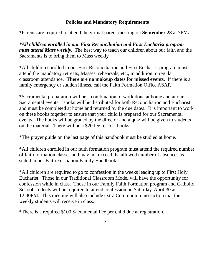### **Policies and Mandatory Requirements**

\*Parents are required to attend the virtual parent meeting on **September 28** at 7PM**.**

*\*All children enrolled in our First Reconciliation and First Eucharist program must attend Mass weekly.* The best way to teach our children about our faith and the Sacraments is to bring them to Mass weekly.

\*All children enrolled in our First Reconciliation and First Eucharist program must attend the mandatory retreats, Masses, rehearsals, etc., in addition to regular classroom attendance. **There are no makeup dates for missed events**. If there is a family emergency or sudden illness, call the Faith Formation Office ASAP.

\*Sacramental preparation will be a combination of work done at home and at our Sacramental events. Books will be distributed for both Reconciliation and Eucharist and must be completed at home and returned by the due dates. It is important to work on these books together to ensure that your child is prepared for our Sacramental events. The books will be graded by the director and a quiz will be given to students on the material. There will be a \$20 fee for lost books.

\*The prayer guide on the last page of this handbook must be studied at home.

\*All children enrolled in our faith formation program must attend the required number of faith formation classes and may not exceed the allowed number of absences as stated in our Faith Formation Family Handbook.

\*All children are required to go to confession in the weeks leading up to First Holy Eucharist. Those in our Traditional Classroom Model will have the opportunity for confession while in class. Those in our Family Faith Formation program and Catholic School students will be required to attend confession on Saturday, April 30 at 12:30PM. This meeting will also include extra Communion instruction that the weekly students will receive in class.

\*There is a required \$100 Sacramental Fee per child due at registration.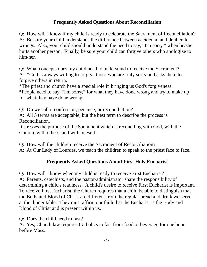## **Frequently Asked Questions About Reconciliation**

Q: How will I know if my child is ready to celebrate the Sacrament of Reconciliation? A: Be sure your child understands the difference between accidental and deliberate wrongs. Also, your child should understand the need to say, "I'm sorry," when he/she hurts another person. Finally, be sure your child can forgive others who apologize to him/her.

Q: What concepts does my child need to understand to receive the Sacrament? A: \*God is always willing to forgive those who are truly sorry and asks them to forgive others in return.

\*The priest and church have a special role in bringing us God's forgiveness. \*People need to say, "I'm sorry," for what they have done wrong and try to make up for what they have done wrong.

Q: Do we call it confession, penance, or reconciliation?

A: All 3 terms are acceptable, but the best term to describe the process is Reconciliation.

It stresses the purpose of the Sacrament which is reconciling with God, with the Church, with others, and with oneself.

Q: How will the children receive the Sacrament of Reconciliation?

A: At Our Lady of Lourdes, we teach the children to speak to the priest face to face.

## **Frequently Asked Questions About First Holy Eucharist**

Q: How will I know when my child is ready to receive First Eucharist? A: Parents, catechists, and the pastor/administrator share the responsibility of determining a child's readiness. A child's desire to receive First Eucharist is important. To receive First Eucharist, the Church requires that a child be able to distinguish that the Body and Blood of Christ are different from the regular bread and drink we serve at the dinner table. They must affirm our faith that the Eucharist is the Body and Blood of Christ and is present within us.

Q: Does the child need to fast?

A: Yes, Church law requires Catholics to fast from food or beverage for one hour before Mass.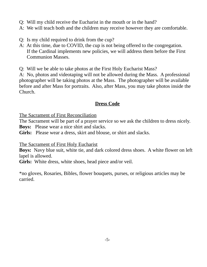- Q: Will my child receive the Eucharist in the mouth or in the hand?
- A: We will teach both and the children may receive however they are comfortable.
- Q: Is my child required to drink from the cup?
- A: At this time, due to COVID, the cup is not being offered to the congregation. If the Cardinal implements new policies, we will address them before the First Communion Masses.
- Q: Will we be able to take photos at the First Holy Eucharist Mass?

A: No, photos and videotaping will not be allowed during the Mass. A professional photographer will be taking photos at the Mass. The photographer will be available before and after Mass for portraits. Also, after Mass, you may take photos inside the Church.

### **Dress Code**

The Sacrament of First Reconciliation

The Sacrament will be part of a prayer service so we ask the children to dress nicely. **Boys:** Please wear a nice shirt and slacks.

**Girls:** Please wear a dress, skirt and blouse, or shirt and slacks.

#### The Sacrament of First Holy Eucharist

**Boys:** Navy blue suit, white tie, and dark colored dress shoes. A white flower on left lapel is allowed.

**Girls:** White dress, white shoes, head piece and/or veil.

\*no gloves, Rosaries, Bibles, flower bouquets, purses, or religious articles may be carried.